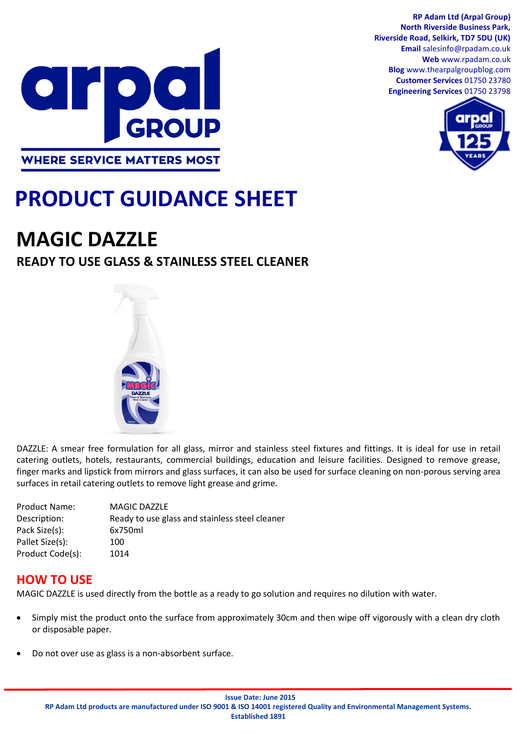

#### **RP Adam Ltd (Arpal Group) North Riverside Business Park, Riverside Road, Selkirk, TD7 5DU (UK) Email** salesinfo@rpadam.co.uk **Web** www.rpadam.co.uk **Blog** www.thearpalgroupblog.com **Customer Services** 01750 23780 **Engineering Services** 01750 23798



# **PRODUCT GUIDANCE SHEET**

## **MAGIC DAZZLE**

## **READY TO USE GLASS & STAINLESS STEEL CLEANER**



DAZZLE: A smear free formulation for all glass, mirror and stainless steel fixtures and fittings. It is ideal for use in retail catering outlets, hotels, restaurants, commercial buildings, education and leisure facilities. Designed to remove grease, finger marks and lipstick from mirrors and glass surfaces, it can also be used for surface cleaning on non-porous serving area surfaces in retail catering outlets to remove light grease and grime.

| <b>Product Name:</b> | <b>MAGIC DAZZLE</b>                            |
|----------------------|------------------------------------------------|
| Description:         | Ready to use glass and stainless steel cleaner |
| Pack Size(s):        | 6x750ml                                        |
| Pallet Size(s):      | 100                                            |
| Product Code(s):     | 1014                                           |
|                      |                                                |

#### **HOW TO USE**

MAGIC DAZZLE is used directly from the bottle as a ready to go solution and requires no dilution with water.

- Simply mist the product onto the surface from approximately 30cm and then wipe off vigorously with a clean dry cloth or disposable paper.
- Do not over use as glass is a non-absorbent surface.